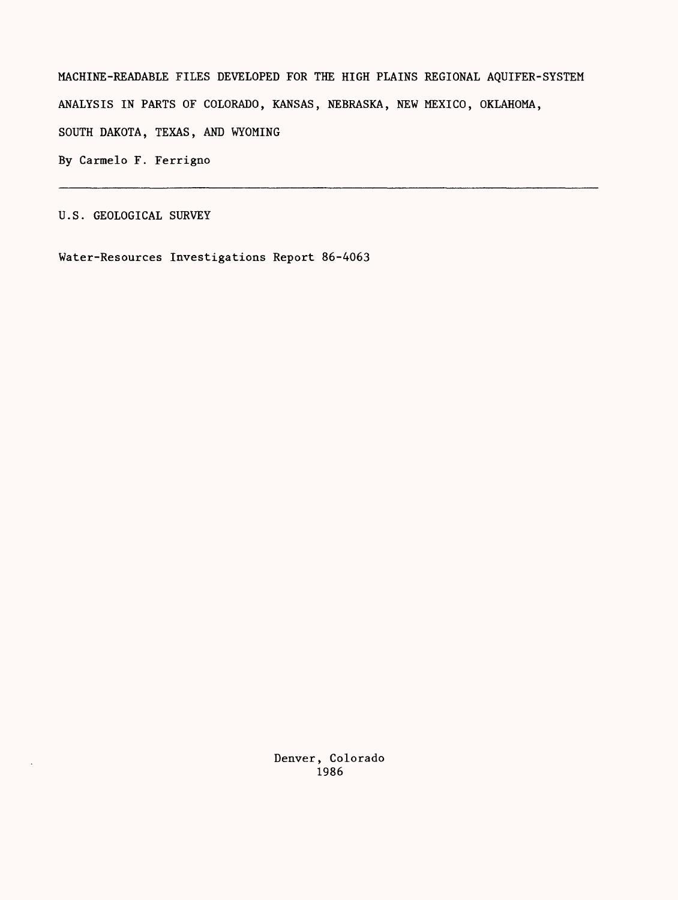MACHINE-READABLE FILES DEVELOPED FOR THE HIGH PLAINS REGIONAL AQUIFER-SYSTEM ANALYSIS IN PARTS OF COLORADO, KANSAS, NEBRASKA, NEW MEXICO, OKLAHOMA, SOUTH DAKOTA, TEXAS, AND WYOMING By Carmelo F. Ferrigno

U.S. GEOLOGICAL SURVEY

 $\ddot{\phantom{a}}$ 

Water-Resources Investigations Report 86-4063

Denver, Colorado 1986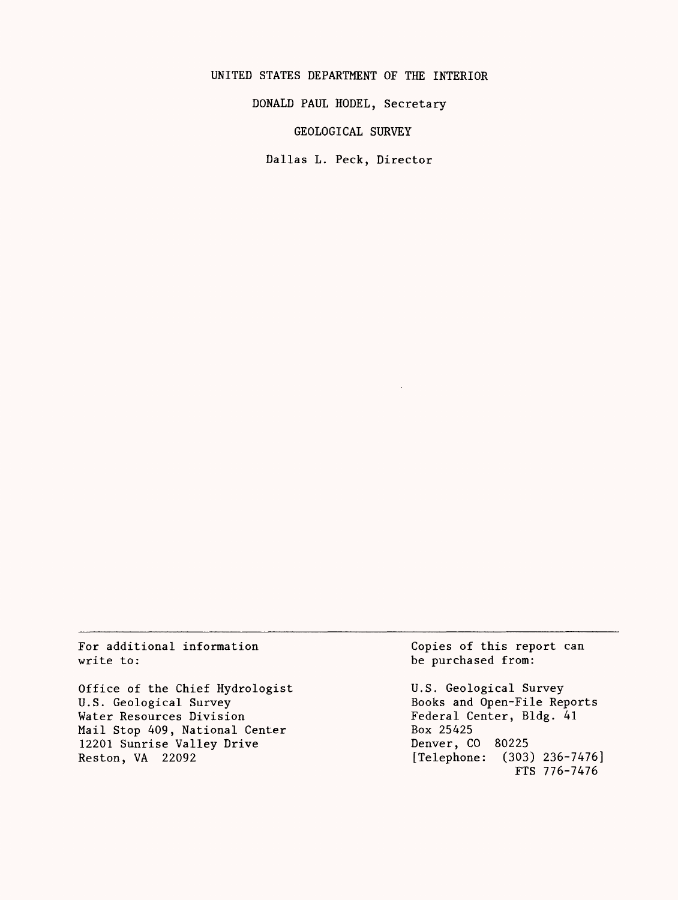UNITED STATES DEPARTMENT OF THE INTERIOR

DONALD PAUL HODEL, Secretary

GEOLOGICAL SURVEY

Dallas L. Peck, Director

For additional information write to:

Office of the Chief Hydrologist U.S. Geological Survey Water Resources Division Mail Stop 409, National Center 12201 Sunrise Valley Drive Reston, VA 22092

Copies of this report can be purchased from:

U.S. Geological Survey Books and Open-File Reports Federal Center, Bldg. 41 Box 25425 Denver, CO 80225 [Telephone: (303) 236-7476] FTS 776-7476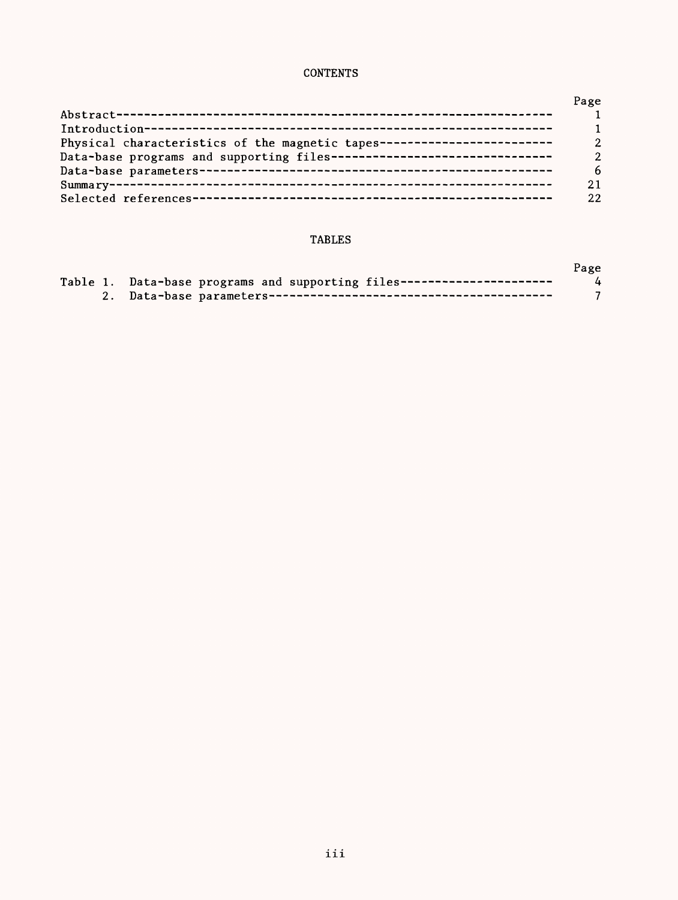## **CONTENTS**

|                                                                          | Page           |
|--------------------------------------------------------------------------|----------------|
|                                                                          | $\blacksquare$ |
|                                                                          | $\mathbf{1}$   |
| Physical characteristics of the magnetic tapes-------------------------  | $\mathcal{P}$  |
| Data-base programs and supporting files--------------------------------- | $\overline{2}$ |
|                                                                          | 6              |
|                                                                          | 21             |
|                                                                          | 22             |

## TABLES

|                                                                        | Page |
|------------------------------------------------------------------------|------|
| Table 1. Data-base programs and supporting files---------------------- | 4    |
|                                                                        |      |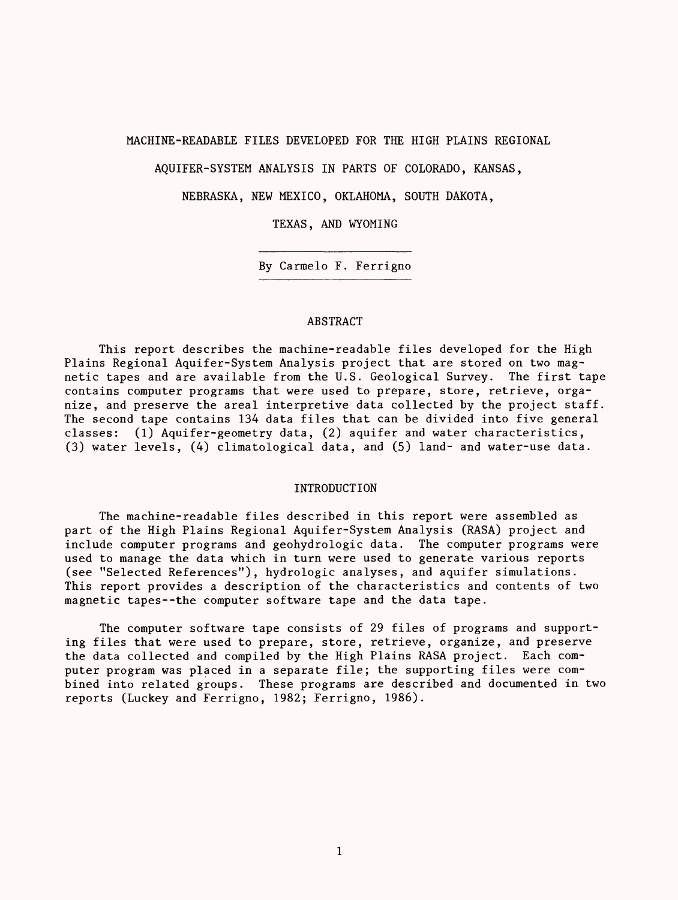## MACHINE-READABLE FILES DEVELOPED FOR THE HIGH PLAINS REGIONAL

AQUIFER-SYSTEM ANALYSIS IN PARTS OF COLORADO, KANSAS,

NEBRASKA, NEW MEXICO, OKLAHOMA, SOUTH DAKOTA,

TEXAS, AND WYOMING

By Carmelo F. Ferrigno

## ABSTRACT

This report describes the machine-readable files developed for the High Plains Regional Aquifer-System Analysis project that are stored on two magnetic tapes and are available from the U.S. Geological Survey. The first tape contains computer programs that were used to prepare, store, retrieve, organize, and preserve the areal interpretive data collected by the project staff. The second tape contains 134 data files that can be divided into five general classes: (1) Aquifer-geometry data, (2) aquifer and water characteristics, (3) water levels, (4) climatological data, and (5) land- and water-use data.

## INTRODUCTION

The machine-readable files described in this report were assembled as part of the High Plains Regional Aquifer-System Analysis (RASA) project and include computer programs and geohydrologic data. The computer programs were used to manage the data which in turn were used to generate various reports (see "Selected References"), hydrologic analyses, and aquifer simulations. This report provides a description of the characteristics and contents of two magnetic tapes--the computer software tape and the data tape.

The computer software tape consists of 29 files of programs and supporting files that were used to prepare, store, retrieve, organize, and preserve the data collected and compiled by the High Plains RASA project. Each computer program was placed in a separate file; the supporting files were combined into related groups. These programs are described and documented in two reports (Luckey and Ferrigno, 1982; Ferrigno, 1986).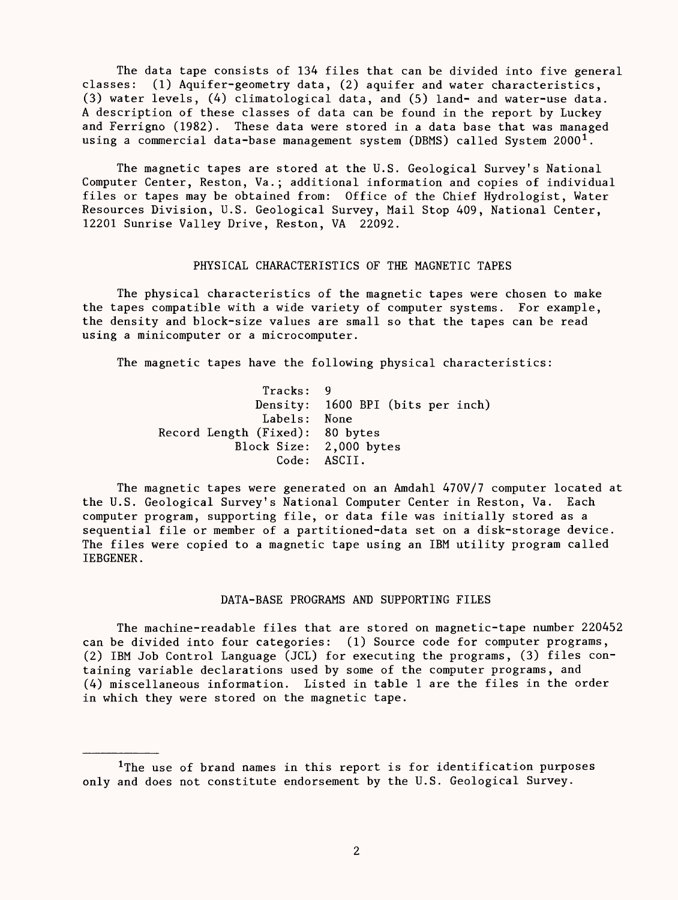The data tape consists of 134 files that can be divided into five general classes: (1) Aquifer-geometry data, (2) aquifer and water characteristics, (3) water levels, (4) climatological data, and (5) land- and water-use data. A description of these classes of data can be found in the report by Luckey and Ferrigno (1982). These data were stored in a data base that was managed using a commercial data-base management system (DBMS) called System  $2000<sup>1</sup>$ .

The magnetic tapes are stored at the U.S. Geological Survey's National Computer Center, Reston, Va.; additional information and copies of individual files or tapes may be obtained from: Office of the Chief Hydrologist, Water Resources Division, U.S. Geological Survey, Mail Stop 409, National Center, 12201 Sunrise Valley Drive, Reston, VA 22092.

## PHYSICAL CHARACTERISTICS OF THE MAGNETIC TAPES

The physical characteristics of the magnetic tapes were chosen to make the tapes compatible with a wide variety of computer systems. For example, the density and block-size values are small so that the tapes can be read using a minicomputer or a microcomputer.

The magnetic tapes have the following physical characteristics:

Tracks: 9 Density: 1600 BPI (bits per inch) Labels: None Record Length (Fixed): 80 bytes  $2,000$  bytes Code: ASCII.

The magnetic tapes were generated on an Amdahl 470V/7 computer located at the U.S. Geological Survey's National Computer Center in Reston, Va. Each computer program, supporting file, or data file was initially stored as a sequential file or member of a partitioned-data set on a disk-storage device. The files were copied to a magnetic tape using an IBM utility program called IEBGENER.

## DATA-BASE PROGRAMS AND SUPPORTING FILES

The machine-readable files that are stored on magnetic-tape number 220452 can be divided into four categories: (1) Source code for computer programs, (2) IBM Job Control Language (JCL) for executing the programs, (3) files containing variable declarations used by some of the computer programs, and (4) miscellaneous information. Listed in table 1 are the files in the order in which they were stored on the magnetic tape.

<sup>&</sup>lt;sup>1</sup>The use of brand names in this report is for identification purposes only and does not constitute endorsement by the U.S. Geological Survey.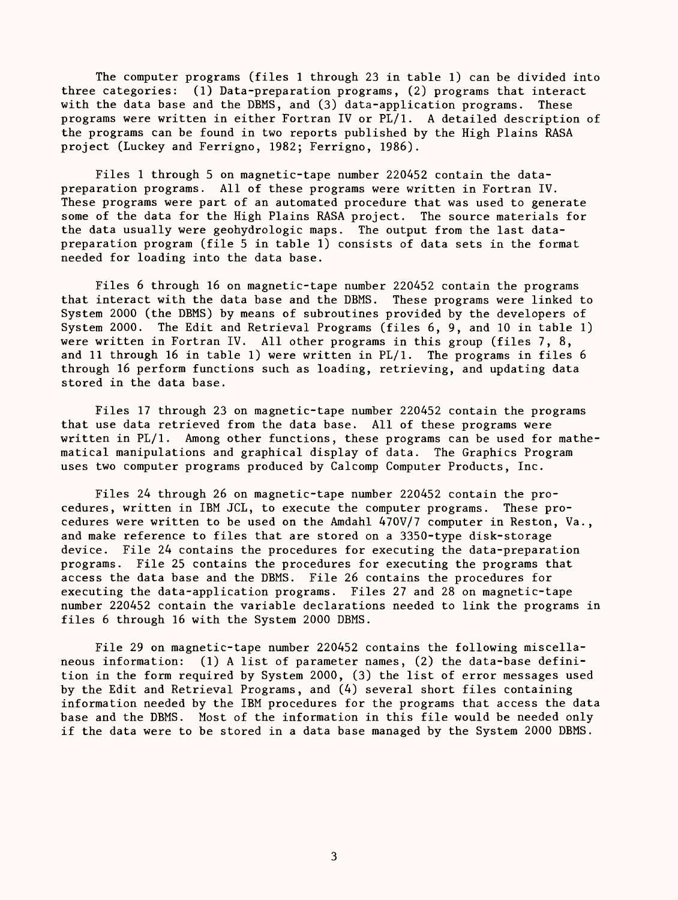The computer programs (files 1 through 23 in table 1) can be divided into three categories: (1) Data-preparation programs, (2) programs that interact with the data base and the DBMS, and (3) data-application programs. These programs were written in either Fortran IV or PL/1. A detailed description of the programs can be found in two reports published by the High Plains RASA project (Luckey and Ferrigno, 1982; Ferrigno, 1986).

Files 1 through 5 on magnetic-tape number 220452 contain the datapreparation programs. All of these programs were written in Fortran IV. These programs were part of an automated procedure that was used to generate some of the data for the High Plains RASA project. The source materials for the data usually were geohydrologic maps. The output from the last datapreparation program (file 5 in table 1) consists of data sets in the format needed for loading into the data base.

Files 6 through 16 on magnetic-tape number 220452 contain the programs that interact with the data base and the DBMS. These programs were linked to System 2000 (the DBMS) by means of subroutines provided by the developers of System 2000. The Edit and Retrieval Programs (files 6, 9, and 10 in table 1) were written in Fortran IV. All other programs in this group (files 7, 8, and 11 through 16 in table 1) were written in PL/1. The programs in files 6 through 16 perform functions such as loading, retrieving, and updating data stored in the data base.

Files 17 through 23 on magnetic-tape number 220452 contain the programs that use data retrieved from the data base. All of these programs were written in PL/1. Among other functions, these programs can be used for mathematical manipulations and graphical display of data. The Graphics Program uses two computer programs produced by Calcomp Computer Products, Inc.

Files 24 through 26 on magnetic-tape number 220452 contain the procedures, written in IBM JCL, to execute the computer programs. These procedures were written to be used on the Amdahl 470V/7 computer in Reston, Va., and make reference to files that are stored on a 3350-type disk-storage device. File 24 contains the procedures for executing the data-preparation programs. File 25 contains the procedures for executing the programs that access the data base and the DBMS. File 26 contains the procedures for executing the data-application programs. Files 27 and 28 on magnetic-tape number 220452 contain the variable declarations needed to link the programs in files 6 through 16 with the System 2000 DBMS.

File 29 on magnetic-tape number 220452 contains the following miscellaneous information: (1) A list of parameter names, (2) the data-base definition in the form required by System 2000, (3) the list of error messages used by the Edit and Retrieval Programs, and (4) several short files containing information needed by the IBM procedures for the programs that access the data base and the DBMS. Most of the information in this file would be needed only if the data were to be stored in a data base managed by the System 2000 DBMS.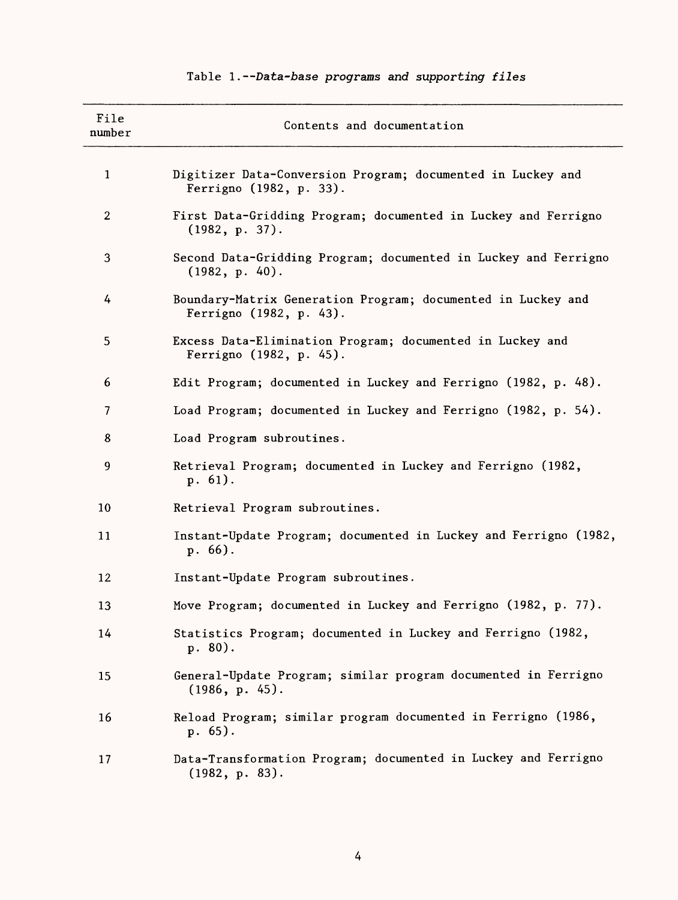| File<br>number | Contents and documentation                                                              |
|----------------|-----------------------------------------------------------------------------------------|
| $\mathbf{1}$   | Digitizer Data-Conversion Program; documented in Luckey and<br>Ferrigno (1982, p. 33).  |
| $\overline{2}$ | First Data-Gridding Program; documented in Luckey and Ferrigno<br>(1982, p. 37).        |
| 3              | Second Data-Gridding Program; documented in Luckey and Ferrigno<br>(1982, p. 40).       |
| 4              | Boundary-Matrix Generation Program; documented in Luckey and<br>Ferrigno (1982, p. 43). |
| 5              | Excess Data-Elimination Program; documented in Luckey and<br>Ferrigno (1982, p. 45).    |
| 6              | Edit Program; documented in Luckey and Ferrigno (1982, p. 48).                          |
| $\overline{7}$ | Load Program; documented in Luckey and Ferrigno (1982, p. 54).                          |
| 8              | Load Program subroutines.                                                               |
| 9              | Retrieval Program; documented in Luckey and Ferrigno (1982,<br>$p.61$ .                 |
| 10             | Retrieval Program subroutines.                                                          |
| 11             | Instant-Update Program; documented in Luckey and Ferrigno (1982,<br>$p.66$ .            |
| 12             | Instant-Update Program subroutines.                                                     |
| 13             | Move Program; documented in Luckey and Ferrigno (1982, p. 77).                          |
| 14             | Statistics Program; documented in Luckey and Ferrigno (1982,<br>$p. 80$ .               |
| 15             | General-Update Program; similar program documented in Ferrigno<br>(1986, p. 45).        |
| 16             | Reload Program; similar program documented in Ferrigno (1986,<br>$p.65$ .               |
| 17             | Data-Transformation Program; documented in Luckey and Ferrigno<br>(1982, p. 83).        |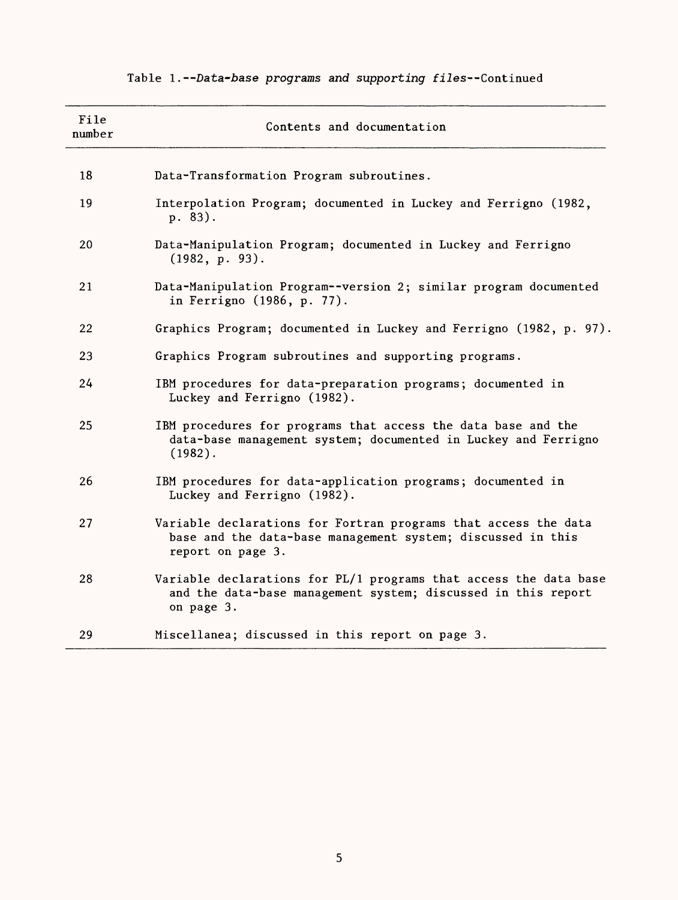| File<br>number | Contents and documentation                                                                                                                          |
|----------------|-----------------------------------------------------------------------------------------------------------------------------------------------------|
| 18             | Data-Transformation Program subroutines.                                                                                                            |
| 19             | Interpolation Program; documented in Luckey and Ferrigno (1982,<br>p. 83).                                                                          |
| 20             | Data-Manipulation Program; documented in Luckey and Ferrigno<br>(1982, p. 93).                                                                      |
| 21             | Data-Manipulation Program--version 2; similar program documented<br>in Ferrigno (1986, p. 77).                                                      |
| 22             | Graphics Program; documented in Luckey and Ferrigno (1982, p. 97).                                                                                  |
| 23             | Graphics Program subroutines and supporting programs.                                                                                               |
| 24             | IBM procedures for data-preparation programs; documented in<br>Luckey and Ferrigno (1982).                                                          |
| 25             | IBM procedures for programs that access the data base and the<br>data-base management system; documented in Luckey and Ferrigno<br>$(1982)$ .       |
| 26             | IBM procedures for data-application programs; documented in<br>Luckey and Ferrigno (1982).                                                          |
| 27             | Variable declarations for Fortran programs that access the data<br>base and the data-base management system; discussed in this<br>report on page 3. |
| 28             | Variable declarations for PL/1 programs that access the data base<br>and the data-base management system; discussed in this report<br>on page 3.    |
| 29             | Miscellanea; discussed in this report on page 3.                                                                                                    |

# Table 1.--Data-base programs and supporting files--Continued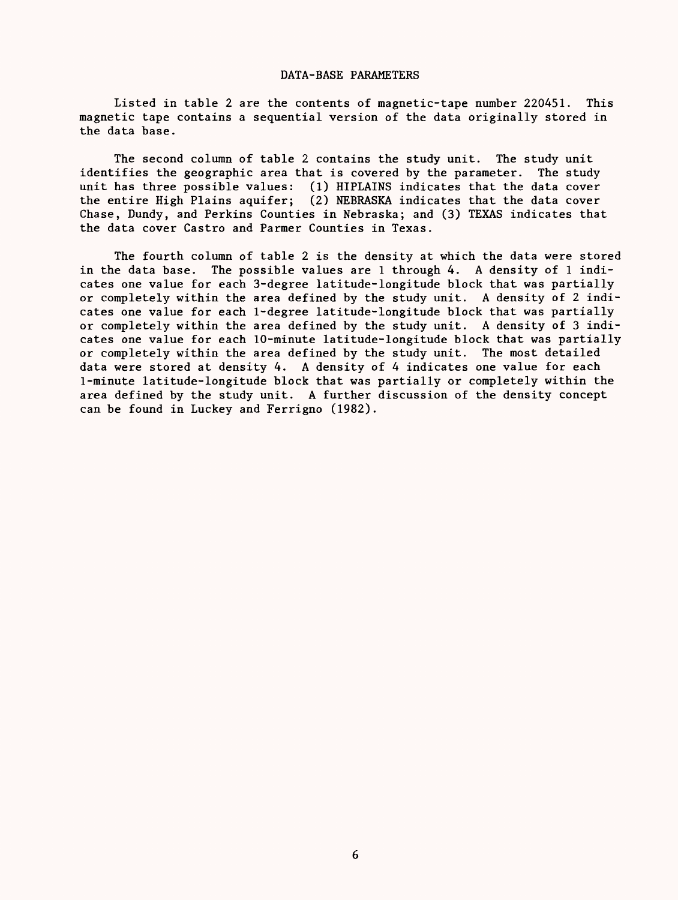#### DATA-BASE PARAMETERS

Listed in table 2 are the contents of magnetic-tape number 220451. This magnetic tape contains a sequential version of the data originally stored in the data base.

The second column of table 2 contains the study unit. The study unit identifies the geographic area that is covered by the parameter. The study unit has three possible values: (1) HIPLAINS indicates that the data cover the entire High Plains aquifer; (2) NEBRASKA indicates that the data cover Chase, Dundy, and Perkins Counties in Nebraska; and (3) TEXAS indicates that the data cover Castro and Parmer Counties in Texas.

The fourth column of table 2 is the density at which the data were stored in the data base. The possible values are 1 through 4. A density of 1 indicates one value for each 3-degree latitude-longitude block that was partially or completely within the area defined by the study unit. A density of 2 indicates one value for each 1-degree latitude-longitude block that was partially or completely within the area defined by the study unit. A density of 3 indicates one value for each 10-minute latitude-longitude block that was partially or completely within the area defined by the study unit. The most detailed data were stored at density 4. A density of 4 indicates one value for each 1-minute latitude-longitude block that was partially or completely within the area defined by the study unit. A further discussion of the density concept can be found in Luckey and Ferrigno (1982).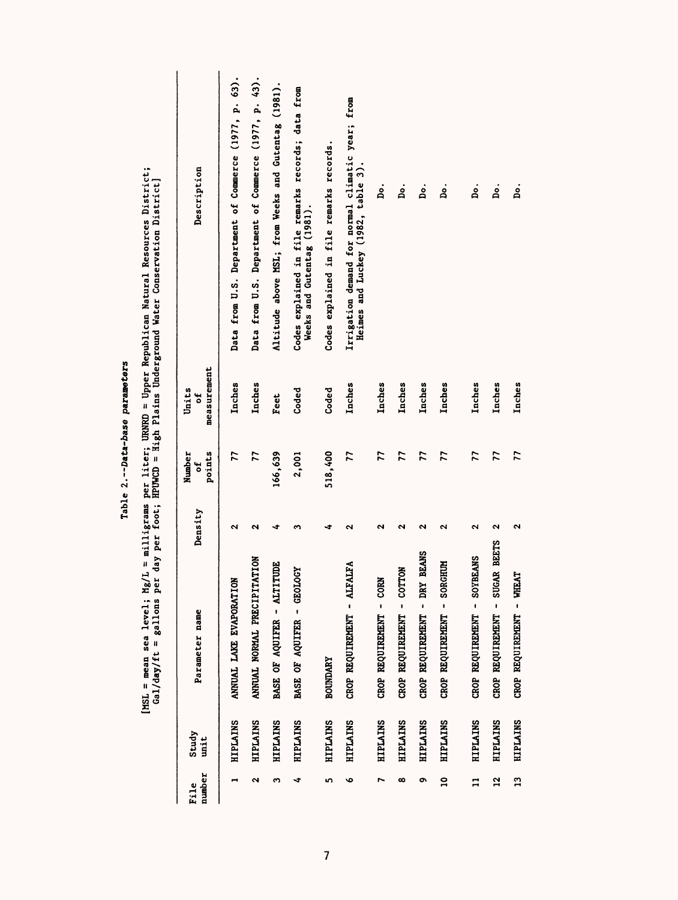|                 |                 |                                        |                      |                        |                           | [MSL = mean sea level; Mg/L = milligrams per liter; URNRD = Upper Republican Natural Resources District;<br>Gal/day/ft = gallons per day per foot; HPUWCD = High Plains Underground Water Conservation District) |
|-----------------|-----------------|----------------------------------------|----------------------|------------------------|---------------------------|------------------------------------------------------------------------------------------------------------------------------------------------------------------------------------------------------------------|
| number<br>File  | Study<br>unit   | Parameter name                         | Density              | points<br>Number<br>٣, | measurement<br>Units<br>đ | Description                                                                                                                                                                                                      |
|                 | <b>HIPLAINS</b> | ANNUAL LAKE EVAPORATION                | $\mathbf{\tilde{c}}$ | 77                     | Inches                    | Data from U.S. Department of Commerce (1977, p. 63).                                                                                                                                                             |
| ٩               | <b>HIPLAINS</b> | ANNUAL NORMAL PRECIPITATION            | ત્ર                  | 77                     | Inches                    | Data from U.S. Department of Commerce (1977, p. 43).                                                                                                                                                             |
| m               | <b>HIPLAINS</b> | TUDE<br>BASE OF AQUIFER - AITI         | ۰î                   | 166,639                | Feet                      | Altitude above MSL; from Weeks and Gutentag (1981).                                                                                                                                                              |
| ∢               | <b>HIPLAINS</b> | BASE OF AQUIFER - GEOLOGY              | m                    | 2,001                  | Coded                     | Codes explained in file remarks records; data from<br>Weeks and Gutentag (1981).                                                                                                                                 |
| 5               | <b>HIPLAINS</b> | <b>BOUNDARY</b>                        | -2                   | 518,400                | Coded                     | Codes explained in file remarks records.                                                                                                                                                                         |
| ৽               | <b>HIPLAINS</b> | CROP REQUIREMENT - ALFALFA             |                      | 77                     | Inches                    | Irrigation demand for normal climatic year; from<br>Heimes and Luckey (1982, table 3).                                                                                                                           |
|                 | <b>HIPLAINS</b> | CROP REQUIREMENT - CORN                | ىم                   | 77                     | Inches                    | 。<br>8                                                                                                                                                                                                           |
| $\infty$        | <b>HIPLAINS</b> | CROP REQUIREMENT - COTTON              | ∾                    | 77                     | Inches                    | ġ.                                                                                                                                                                                                               |
| ۰               | <b>HIPLAINS</b> | <b>BEANS</b><br>CROP REQUIREMENT - DRY | ત્ર                  | 77                     | Inches                    | ġ.                                                                                                                                                                                                               |
| $\overline{a}$  | <b>HIPLAINS</b> | CROP REQUIREMENT - SORGHUM             | ى                    | 77                     | Inches                    | ġ.                                                                                                                                                                                                               |
| $\mathbf{r}$    | <b>HIPLAINS</b> | CROP REQUIREMENT - SOYBEANS            | ٩                    | 77                     | Inches                    | ρ.                                                                                                                                                                                                               |
| $\overline{12}$ | <b>HIPLAINS</b> | CROP REQUIREMENT - SUGAR BEETS         | $\mathbf{\tilde{c}}$ | 77                     | Inches                    | å.                                                                                                                                                                                                               |
| $\overline{a}$  | <b>HIPLAINS</b> | CROP REQUIREMENT - WHEAT               | ٩                    | $\overline{7}$         | Inches                    | ġ.                                                                                                                                                                                                               |

Table 2.--Data-base parameters Table 2. Data-base parameters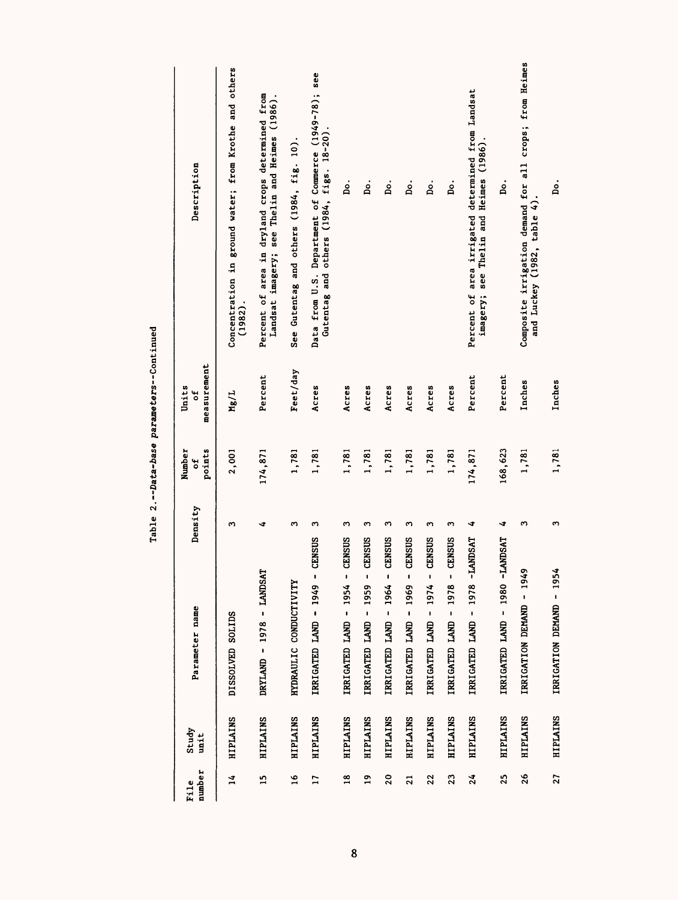| number<br>File  | Study<br>unit   | Parameter name                                  | Density | points<br>Number<br>ម | measurement<br>Units<br>벙 | Description                                                                                        |
|-----------------|-----------------|-------------------------------------------------|---------|-----------------------|---------------------------|----------------------------------------------------------------------------------------------------|
| $\frac{1}{4}$   | HIPLAINS        | DISSOLVED SOLIDS                                | ო       | 2,001                 | Mg/L                      | Concentration in ground water; from Krothe and others<br>(1982)                                    |
| $\frac{15}{2}$  | <b>HIPLAINS</b> | DRYLAND - 1978 - LANDSAT                        | ∢       | 174,871               | Percent                   | Percent of area in dryland crops determined from<br>Landsat imagery; see Thelin and Heimes (1986). |
| $\frac{8}{1}$   | <b>HIPLAINS</b> | HYDRAULIC CONDUCTIVITY                          | m       | 1,781                 | Feet/day                  | See Gutentag and others (1984, fig. 10).                                                           |
| $\overline{17}$ | <b>HIPLAINS</b> | CENSUS<br>IRRIGATED LAND - 1949                 | ო       | 1,781                 | Acres                     | Data from U.S. Department of Commerce (1949-78); see<br>Gutentag and others (1984, figs. 18-20).   |
| $\frac{8}{2}$   | <b>HIPLAINS</b> | CENSUS<br>٠<br>IRRIGATED LAND - 1954            | ო       | 1,781                 | Acres                     | .<br>B                                                                                             |
| $\frac{9}{1}$   | HIPLAINS        | CENSUS<br>ı<br>IRRIGATED LAND - 1959            | ო       | 1,781                 | Acres                     | ρ.                                                                                                 |
| 20              | HIPLAINS        | CENSUS<br>$\mathbf{I}$<br>IRRIGATED LAND - 1964 | ω       | 1,781                 | Acres                     | å.                                                                                                 |
| $\overline{a}$  | HIPLAINS        | CENSUS<br>$\mathbf{I}$<br>IRRIGATED LAND - 1969 | ო       | 1,781                 | Acres                     | .oq                                                                                                |
| 22              | HIPLAINS        | CENSUS<br>,<br>1974<br>IRRIGATED LAND -         | m       | 1,781                 | Acres                     | ρ.                                                                                                 |
| $\overline{23}$ | HIPLAINS        | CENSUS<br>,<br>1978<br>IRRIGATED LAND -         | S       | 1,781                 | Acres                     | .<br>A                                                                                             |
| 24              | <b>HIPLAINS</b> | TANDSAT<br>IRRIGATED LAND - 1978                | ∢       | 174,871               | Percent                   | Percent of area irrigated determined from Landsat<br>imagery; see Thelin and Heimes (1986).        |
| 25              | <b>HIPLAINS</b> | <b>TANDSAT</b><br>IRRIGATED LAND - 1980         | ∢       | 168,623               | Percent                   | ġ.                                                                                                 |
| 26              | <b>HIPLAINS</b> | IRRIGATION DEMAND - 1949                        | ო       | 1,781                 | Inches                    | Composite irrigation demand for all crops; from Heimes<br>and Luckey (1982, table 4).              |
| 27              | <b>HIPLAINS</b> | IRRIGATION DEMAND - 1954                        | S       | 1,781                 | Inches                    | .<br>۵                                                                                             |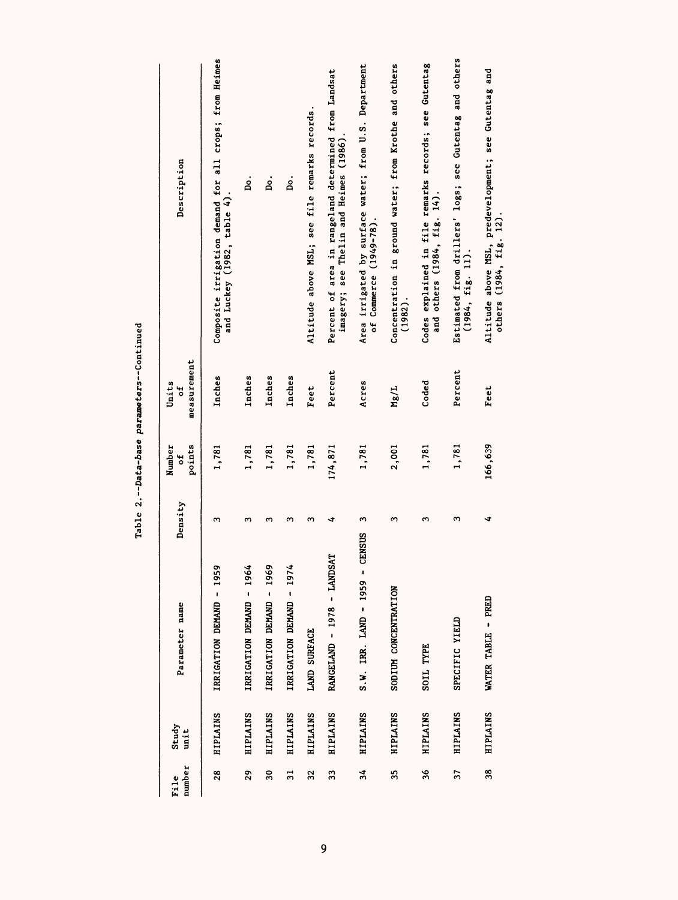| number<br>File  | Study<br>unit   | Parameter name                           | Density | points<br>Number<br>t | measurement<br>Units<br>٣p | Description                                                                                    |
|-----------------|-----------------|------------------------------------------|---------|-----------------------|----------------------------|------------------------------------------------------------------------------------------------|
| $\frac{28}{2}$  | <b>HIPLAINS</b> | ۰<br>IRRIGATION DEMAND - 195             | ო       | 1,781                 | Inches                     | Composite irrigation demand for all crops; from Heimes<br>and Luckey (1982, table 4).          |
| 29              | <b>HIPLAINS</b> | IRRIGATION DEMAND - 1964                 | ω       | 1,781                 | Inches                     | .<br>Bo                                                                                        |
| $\overline{30}$ | HIPLAINS        | IRRIGATION DEMAND - 1969                 | ო       | 1,781                 | Inches                     | ρ.                                                                                             |
| 31              | <b>HIPLAINS</b> | IRRIGATION DEMAND - 1974                 | ო       | 1,781                 | Inches                     | å.                                                                                             |
| 32              | HIPLAINS        | LAND SURFACE                             | ო       | 1,781                 | Feet                       | Altitude above MSL; see file remarks records.                                                  |
| 33              | HIPLAINS        | RANGELAND - 1978 - LANDSAT               | ∢       | 174,871               | Percent                    | Percent of area in rangeland determined from Landsat<br>imagery; see Thelin and Heimes (1986). |
| 34              | HIPLAINS        | <b>CENSUS</b><br>$S.W.$ IRR. LAND - 1959 | ო       | 1,781                 | Acres                      | Area irrigated by surface water; from U.S. Department<br>of Commerce (1949-78).                |
| 35              | HIPLAINS        | SODIUM CONCENTRATION                     | 3       | 2,001                 | Mg/L                       | Concentration in ground water; from Krothe and others<br>$(1982)$ .                            |
| 36              | <b>HIPLAINS</b> | SOIL TYPE                                | m       | 1,781                 | Coded                      | Codes explained in file remarks records; see Gutentag<br>and others (1984, fig. 14).           |
| 37              | <b>HIPLAINS</b> | SPECIFIC YIELD                           | 3       | 1,781                 | Percent                    | Estimated from drillers' logs; see Gutentag and others<br>(1984, fig. 11).                     |
| 38              | <b>HIPLAINS</b> | WATER TABLE - PRED                       | ∢       | 166,639               | Feet                       | Altitude above MSL, predevelopment; see Gutentag and<br>others (1984, fig. 12)                 |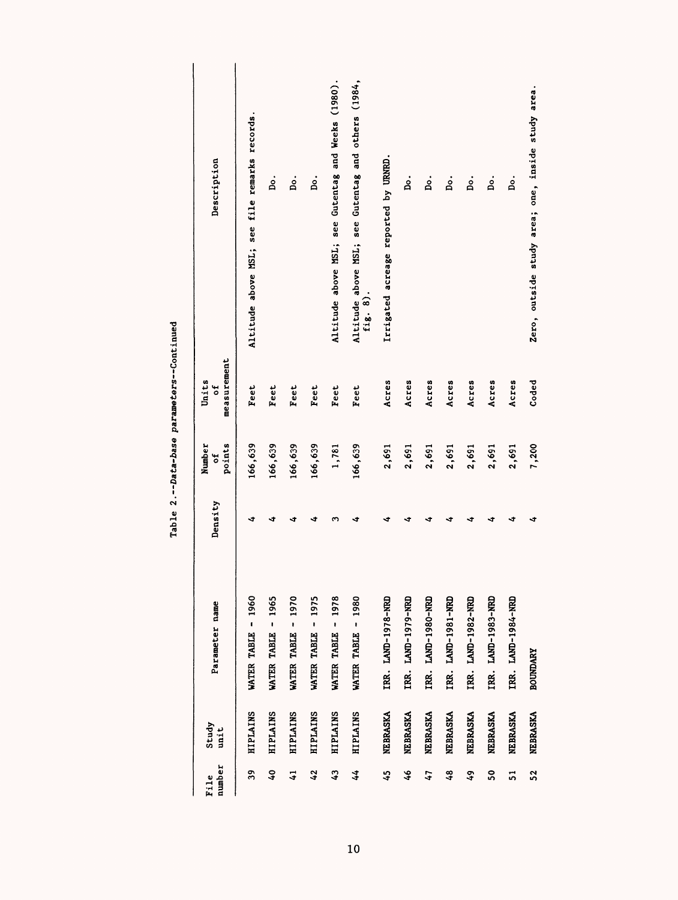| number<br>File | Study<br>unit   | Parameter name        | Density | points<br>Number<br>۴, | measurement<br>Units<br>៵ | Description                                                     |
|----------------|-----------------|-----------------------|---------|------------------------|---------------------------|-----------------------------------------------------------------|
| 39             | <b>HIPLAINS</b> | WATER TABLE - 1960    | ∢       | 166,639                | Feet                      | Altitude above MSL; see file remarks records.                   |
| $\overline{6}$ | HIPLAINS        | WATER TABLE - 1965    | ෑ       | 166,639                | Feet                      | ρ.                                                              |
| $\overline{4}$ | HIPLAINS        | WATER TABLE - 1970    | ∢       | 166,639                | Feet                      | ρ.                                                              |
| 42             | <b>HIPLAINS</b> | WATER TABLE - 1975    | ↵       | 166,639                | Feet                      | ρ.                                                              |
| $\ddot{ }$     | <b>HIPLAINS</b> | 1978<br>WATER TABLE - | ო       | 1,781                  | Feet                      | Altitude above MSL; see Gutentag and Weeks (1980).              |
| 44             | <b>HIPLAINS</b> | WATER TABLE - 1980    | ∢       | 166,639                | <b>Feet</b>               | Altitude above MSL; see Gutentag and others (1984,<br>fig. $8)$ |
| 45             | NEBRASKA        | IRR. LAND-1978-NRD    | ∢       | 2,691                  | Acres                     | Irrigated acreage reported by URNRD.                            |
| $\frac{3}{2}$  | NEBRASKA        | IRR. LAND-1979-NRD    | ∢       | 2,691                  | Acres                     | ġ                                                               |
| 14             | NEBRASKA        | IRR. LAND-1980-NRD    | ∢       | 2,691                  | Acres                     | å.                                                              |
| 48             | NEBRASKA        | TRR. LAND-1981-NRD    | ∢       | 2,691                  | Acres                     | ρ.                                                              |
| $\ddot{6}$     | NEBRASKA        | IRR. LAND-1982-NRD    | ∢       | 2,691                  | Acres                     | ρ.                                                              |
| SO             | NEBRASKA        | IRR. LAND-1983-NRD    | ∢       | 2,691                  | Acres                     | ρ.                                                              |
| 51             | NEBRASKA        | IRR. LAND-1984-NRD    | ∢       | 2,691                  | Acres                     | ρ.                                                              |
| $\overline{5}$ | NEBRASKA        | <b>BOUNDARY</b>       | ∢       | 7,200                  | Coded                     | Zero, outside study area; one, inside study area.               |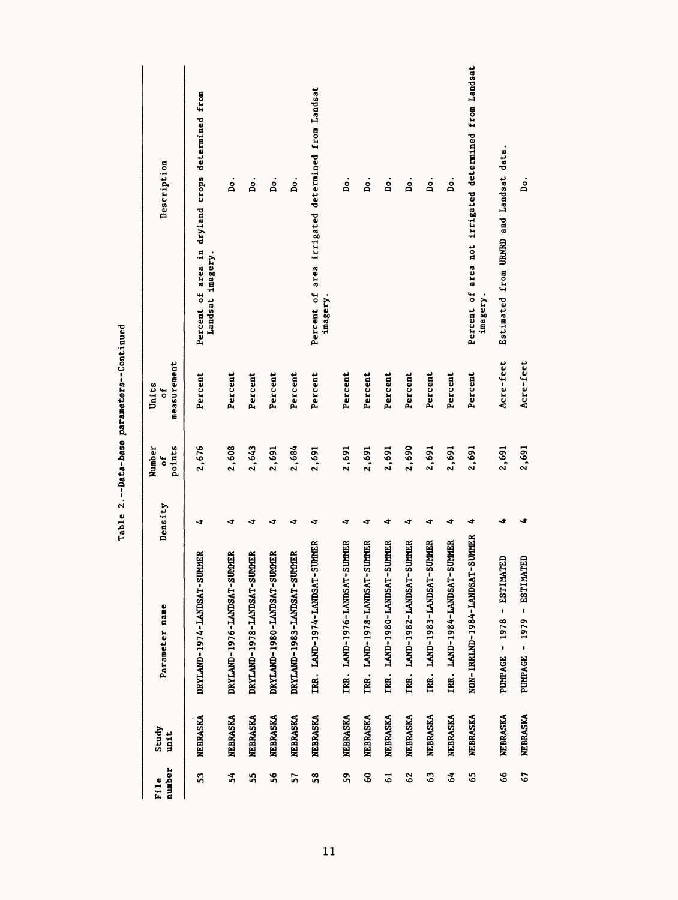| number<br>File | Study<br>unit   | Parameter name                    | Density | points<br>Number<br>đ | measurement<br>Units<br>ã | Description                                                          |
|----------------|-----------------|-----------------------------------|---------|-----------------------|---------------------------|----------------------------------------------------------------------|
| S3             | NEBRASKA        | DRYLAND-1974-LANDSAT-SUMMER       | ∢       | 2,676                 | Percent                   | Percent of area in dryland crops determined from<br>Landsat imagery. |
| 34             | <b>NEBRASKA</b> | DRYLAND-1976-LANDSAT-SUMMER       | ₹       | 2,608                 | Percent                   | ġ.                                                                   |
| SS,            | <b>NEBRASKA</b> | DRYLAND-1978-LANDSAT-SUMMER       | ∢       | 2,643                 | Percent                   | .<br>Bo                                                              |
| \$6            | NEBRASKA        | DRYLAND-1980-LANDSAT-SUMMER       | 4       | 2,691                 | Percent                   | ρ.                                                                   |
| 57             | <b>NEBRASKA</b> | DRYLAND-1983-LANDSAT-SUMMER       | ÷       | 2,684                 | Percent                   | Ь.                                                                   |
| \$8            | NEBRASKA        | IRR. LAND-1974-LANDSAT-SUMMER     | ÷       | 2,691                 | Percent                   | Percent of area irrigated determined from Landsat<br>imagery.        |
| 53             | <b>NEBRASKA</b> | IRR. LAND-1976-LANDSAT-SUMMER     | ෑ       | 2,691                 | Percent                   | .<br>Bo.                                                             |
| SO             | <b>NEBRASKA</b> | IRR. LAND-1978-LANDSAT-SUMMER     | ◅       | 2,691                 | Percent                   | .iq                                                                  |
| 5              | <b>NEBRASKA</b> | -SUMMER<br>IRR. LAND-1980-LANDSAT | ∢       | 2,691                 | Percent                   | .od                                                                  |
| 62             | NEBRASKA        | IRR. LAND-1982-LANDSAT-SUMMER     | ෑ       | 2,690                 | Percent                   | .<br>B                                                               |
| G3             | <b>NEBRASKA</b> | -SUMMER<br>TRR. LAND-1983-LANDSAT | ෑ       | 2,691                 | Percent                   | ρ.                                                                   |
| 3              | NEBRASKA        | -SUMMER<br>IRR. LAND-1984-LANDSAT | ෑ       | 2,691                 | Percent                   | ρ.                                                                   |
| Ś,             | <b>NEBRASKA</b> | NON-IRRLND-1984-LANDSAT-SUMMER    | ◅       | 2,691                 | Percent                   | Percent of area not irrigated determined from Landsat<br>imagery     |
| 8              | NEBRASKA        | $1978 - ESTIMATION$<br>PUMPAGE -  | ∢       | 2,691                 | Acre-feet                 | Estimated from URNRD and Landsat data.                               |
| 57             | <b>NEBRASKA</b> | PUMPAGE - 1979 - ESTIMATED        | ব       | 2,691                 | Acre-feet                 | .<br>A                                                               |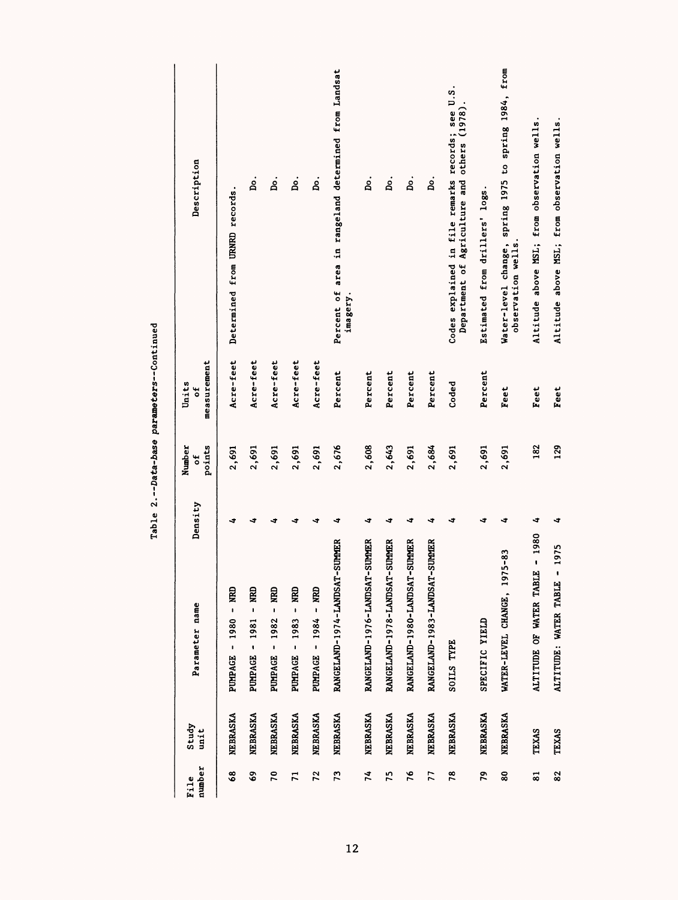| number<br>File | Study<br>unit   | Parameter name                                  | Density | points<br>Number<br>ă | measurement<br>Units<br>ō | Description                                                                                      |
|----------------|-----------------|-------------------------------------------------|---------|-----------------------|---------------------------|--------------------------------------------------------------------------------------------------|
| 68             | NEBRASKA        | LEN -<br><b>PUMPAGE - 1980</b>                  | ↵       | 2,691                 | Acre-feet                 | Determined from URNRD records.                                                                   |
| \$             | NEBRASKA        | PUMPAGE - 1981 - NRD                            | 4       | 2,691                 | Acre-feet                 | ġ.                                                                                               |
| 20             | NEBRASKA        | PUMPAGE - 1982 - NRD                            | ٠       | 2,691                 | Acre-feet                 | å                                                                                                |
| $\overline{1}$ | NEBRASKA        | PUMPAGE - 1983 - NRD                            | 4       | 2,691                 | Acre-feet                 | å.                                                                                               |
| 72             | NEBRASKA        | PUMPAGE - 1984 - NRD                            | ∢       | 2,691                 | Acre-feet                 | å.                                                                                               |
| 73             | NEBRASKA        | RANGELAND-1974-LANDSAT-SUMMER                   | ◅       | 2,676                 | Percent                   | Percent of area in rangeland determined from Landsat<br>imagery.                                 |
| 74             | <b>NEBRASKA</b> | RANGELAND-1976-LANDSAT-SUMMER                   | ◅       | 2,608                 | Percent                   | នំ                                                                                               |
| 75             | NEBRASKA        | RANGELAND-1978-LANDSAT-SUMMER                   | 4       | 2,643                 | Percent                   | å.                                                                                               |
| 76             | NEBRASKA        | RANGELAND-1980-LANDSAT-SUMMER                   | ෑ       | 2,691                 | Percent                   | p.                                                                                               |
| 77             | NEBRASKA        | RANGELAND-1983-LANDSAT-SUMMER                   | ∢       | 2,684                 | Percent                   | ρ.                                                                                               |
| 78             | NEBRASKA        | SOILS TYPE                                      | 4       | 2,691                 | Coded                     | Codes explained in file remarks records; see U.S.<br>Department of Agriculture and others (1978) |
| 79             | NEBRASKA        | SPECIFIC YIELD                                  | 4       | 2,691                 | Percent                   | Estimated from drillers' logs.                                                                   |
| 80             | NEBRASKA        | WATER-LEVEL CHANGE, 1975-83                     | ↵       | 2,691                 | <b>Teet</b>               | Water-level change, spring 1975 to spring 1984, from<br>observation wells.                       |
| 81             | <b>TEXAS</b>    | $-1980$<br>ALTITUDE OF WATER TABLE              | ◅       | 182                   | Feet                      | Altitude above MSL; from observation wells                                                       |
| 82             | TEXAS           | 1975<br>$\blacksquare$<br>ALTITUDE: WATER TABLE | ◅       | 129                   | Feet                      | Altitude above MSL; from observation wells.                                                      |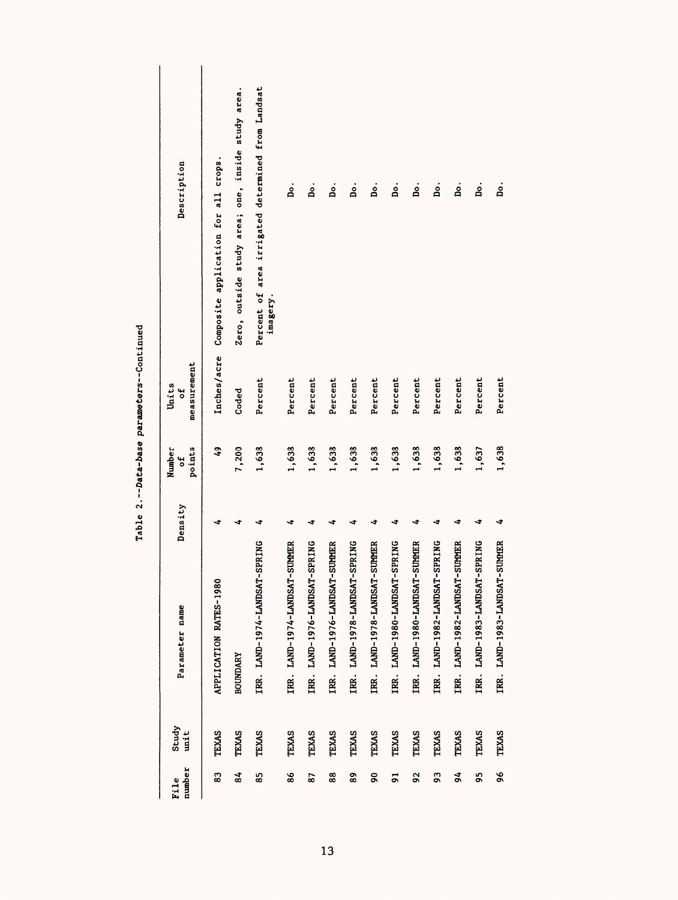| Description                                        | Composite application for all crops.<br>Inches/acre | Zero, outside study area; one, inside study area. | Percent of area irrigated determined from Landsat<br>imagery. | .<br>Bo                            | ρ.                                 | .<br>B                             | å.                                 | å.                                 | ρ.                                  | .<br>B                             | å.                                 | å.                                 | ρ.                                 | ρ.                                 |
|----------------------------------------------------|-----------------------------------------------------|---------------------------------------------------|---------------------------------------------------------------|------------------------------------|------------------------------------|------------------------------------|------------------------------------|------------------------------------|-------------------------------------|------------------------------------|------------------------------------|------------------------------------|------------------------------------|------------------------------------|
| measurement<br>Units<br>ť<br>points<br>Number<br>t | \$                                                  | Coded<br>7,200                                    | Percent<br>1,638                                              | Percent<br>1,638                   | Percent<br>1,638                   | Percent<br>1,638                   | Percent<br>1,638                   | Percent<br>1,638                   | Percent<br>1,638                    | Percent<br>1,638                   | Percent<br>1,638                   | Percent<br>1,638                   | Percent<br>1,637                   | Percent<br>1,638                   |
| Density                                            | ∢                                                   | ∢                                                 | ∢<br>-SPRING                                                  | ◅<br>IRR. LAND-1974-LANDSAT-SUMMER | ⅎ<br>IRR. LAND-1976-LANDSAT-SPRING | ∢<br>IRR. LAND-1976-LANDSAT-SUMMER | ∢<br>IRR. LAND-1978-LANDSAT-SPRING | ∢<br>IRR. LAND-1978-LANDSAT-SUMMER | -1<br>IRR. LAND-1980-LANDSAT-SPRING | ∢<br>IRR. LAND-1980-LANDSAT-SUMMER | ∢<br>IRR. LAND-1982-LANDSAT-SPRING | ◅<br>IRR. LAND-1982-LANDSAT-SUMMER | 寸<br>IRR. LAND-1983-LANDSAT-SPRING | ٠<br>IRR. LAND-1983-LANDSAT-SUMMER |
|                                                    |                                                     |                                                   |                                                               |                                    |                                    |                                    |                                    |                                    |                                     |                                    |                                    |                                    |                                    |                                    |
| Parameter name<br>Study<br>unit                    | APPLICATION RATES-1980<br>TEXAS                     | <b>BOUNDARY</b><br><b>TEXAS</b>                   | IRR. LAND-1974-LANDSAT<br><b>TEXAS</b>                        | <b>TEXAS</b>                       | <b>TEXAS</b>                       | <b>TEXAS</b>                       | <b>TEXAS</b>                       | <b>TEXAS</b>                       | <b>TEXAS</b>                        | <b>TEXAS</b>                       | <b>TEXAS</b>                       | <b>TEXAS</b>                       | <b>TEXAS</b>                       | TEXAS                              |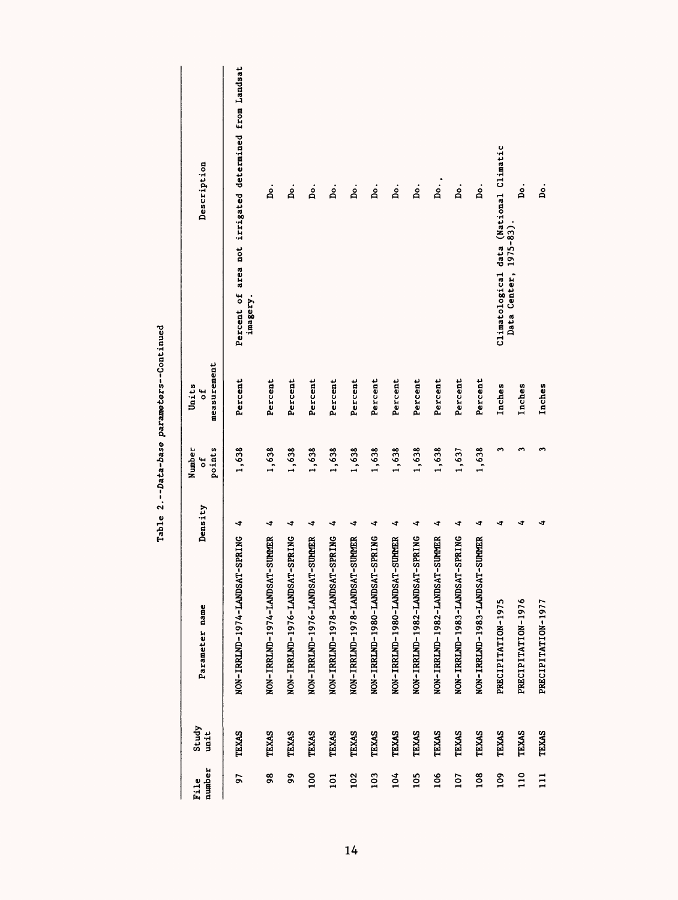| number<br>File   | Study<br>unit | Parameter name                 | Density | points<br>Number<br>to | measurement<br>Units<br>đ | Description                                                       |
|------------------|---------------|--------------------------------|---------|------------------------|---------------------------|-------------------------------------------------------------------|
| 57               | TEXAS         | NON-IRRIMD-1974-LANDSAT-SPRING | ◅       | 1,638                  | Percent                   | Percent of area not irrigated determined from Landsat<br>imagery. |
| 98               | TEXAS         | NON-IRRLND-1974-LANDSAT-SUMMER | ∢       | 1,638                  | Percent                   | ۼ                                                                 |
| 99               | <b>TEXAS</b>  | NON-IRRLND-1976-LANDSAT-SPRING | ◅       | 1,638                  | Percent                   | ġ.                                                                |
| 100              | TEXAS         | NON-IRRLND-1976-LANDSAT-SUMMER | ∢       | 1,638                  | Percent                   | å.                                                                |
| $\overline{101}$ | <b>TEXAS</b>  | NON-IRRLND-1978-LANDSAT-SPRING | ∢       | 1,638                  | Percent                   | å.                                                                |
| 102              | <b>TEXAS</b>  | NON-IRRLND-1978-LANDSAT-SUMMER | ∢       | 1,638                  | Percent                   | ġ.                                                                |
| 103              | TEXAS         | NON-IRRLND-1980-LANDSAT-SPRING | ◅       | 1,638                  | Percent                   | ġ.                                                                |
| 104              | TEXAS         | NON-IRRLND-1980-LANDSAT-SUMMER | ∢       | 1,638                  | Percent                   | ρ.                                                                |
| 105              | TEXAS         | NON-IRRLND-1982-LANDSAT-SPRING | ∢       | 1,638                  | Percent                   | .<br>Å                                                            |
| 106              | TEXAS         | NON-IRRLND-1982-LANDSAT-SUMMER | ∢       | 1,638                  | Percent                   | Do.,                                                              |
| 107              | <b>TEXAS</b>  | NON-IRRLND-1983-LANDSAT-SPRING | ∢       | 1,637                  | Percent                   | ρ.                                                                |
| 108              | TEXAS         | NON-IRRLND-1983-LANDSAT-SUMMER | ◅       | 1,638                  | Percent                   | ρ.                                                                |
| 109              | <b>TEXAS</b>  | PRECIPITATION-1975             | ∢       | m                      | Inches                    | Climatological data (National Climatic                            |
| $\frac{10}{110}$ | TEXAS         | PRECIPITATION-1976             | ∢       | S                      | Inches                    | .<br>B<br>Data Center, 1975-83).                                  |
| $\Xi$            | TEXAS         | PRECIPITATION-1977             | ∢       | ω                      | Inches                    | ρ.                                                                |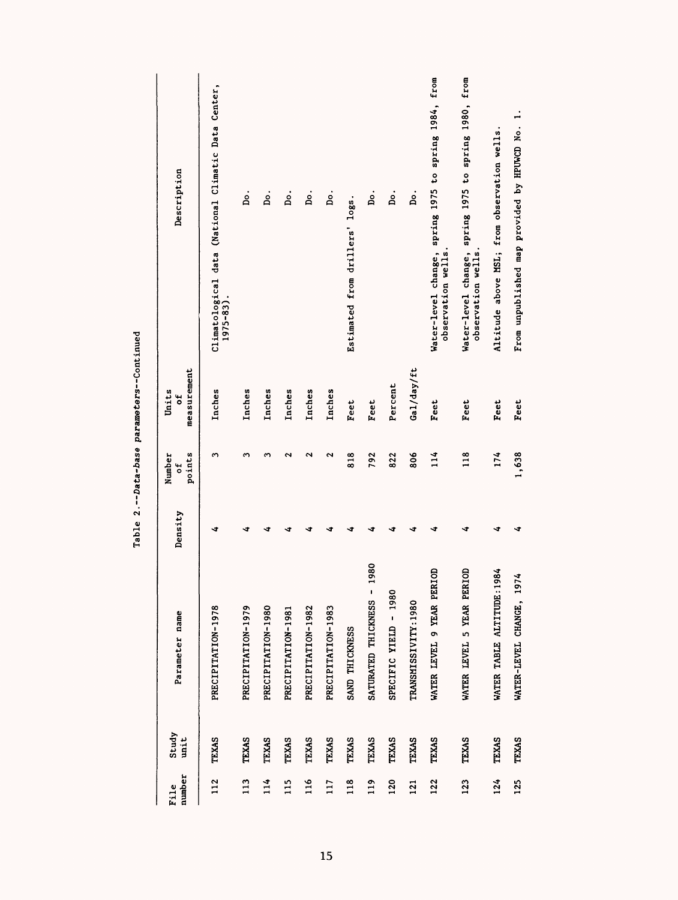| number<br>File | Study<br>unit | Parameter name                | Density | points<br>Number<br>ť | measurement<br>Units<br>đ | Description                                                               |
|----------------|---------------|-------------------------------|---------|-----------------------|---------------------------|---------------------------------------------------------------------------|
| 112            | TEXAS         | PRECIPITATION-1978            | ∢       | m                     | Inches                    | Climatological data (National Climatic Data Center,<br>$1975 - 83$ ).     |
| 113            | TEXAS         | PRECIPITATION-1979            | ٥       | m                     | Inches                    | ρ.                                                                        |
| 114            | <b>TEXAS</b>  | PRECIPITATION-1980            |         | ω                     | Inches                    | ρ.                                                                        |
| 115            | TEXAS         | PRECIPITATION-1981            |         | N                     | Inches                    | ρ.                                                                        |
| 116            | TEXAS         | PRECIPITATION-1982            |         | N                     | Inches                    | .<br>B                                                                    |
| 117            | <b>TEXAS</b>  | PRECIPITATION-1983            |         | 2                     | Inches                    | å.                                                                        |
| 118            | TEXAS         | SAND THICKNESS                |         | 818                   | Feet                      | Estimated from drillers' logs.                                            |
| 119            | <b>TEXAS</b>  | 1980<br>SATURATED THICKNESS   | đ       | 792                   | Feet                      | ρ.                                                                        |
| 120            | <b>TEXAS</b>  | SPECIFIC YIELD - 1980         | ٥       | 822                   | Percent                   | ρ.                                                                        |
| 121            | TEXAS         | TRANSMISSIVITY: 1980          | c       | 806                   | Gal/day/ft                | ρ.                                                                        |
| 122            | TEXAS         | WATER LEVEL 9 YEAR PERIOD     | ∢       | 114                   | Feet                      | Water-level change, spring 1975 to spring 1984, from<br>observation wells |
| 123            | TEXAS         | WATER LEVEL 5 YEAR PERIOD     | ∢       | 118                   | <b>Feet</b>               | Water-level change, spring 1975 to spring 1980, from<br>observation wells |
| 124            | TEXAS         | 1984<br>WATER TABLE ALTITUDE: | J       | 174                   | <b>Feet</b>               | Altitude above MSL; from observation wells                                |
| 125            | <b>TEXAS</b>  | 974<br>WATER-LEVEL CHANGE,    | đ       | 1,638                 | Feet                      | From unpublished map provided by HPUWCD No. 1.                            |

| l      |
|--------|
| Ĵ<br>¢ |
| ֕      |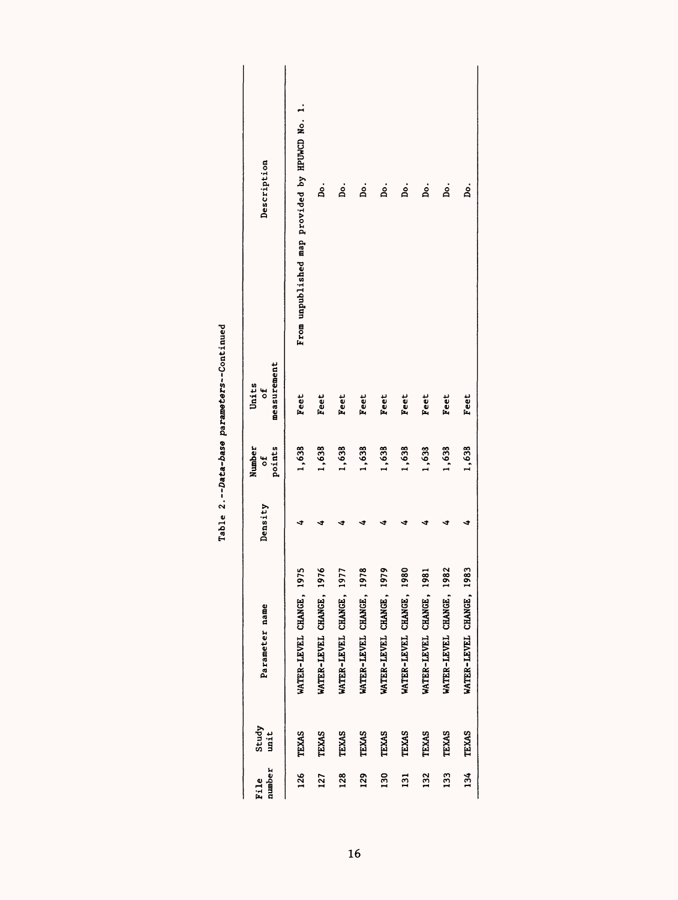| number<br>File   | Study<br>unit | Parameter name           |    | Density | Number<br>points<br>t | measurement<br>Units<br>ัธ | Description                                    |
|------------------|---------------|--------------------------|----|---------|-----------------------|----------------------------|------------------------------------------------|
| 126              | <b>TEXAS</b>  | WATER-LEVEL CHANGE, 197  | ဂ္ |         | 1,638                 | Feet                       | From unpublished map provided by HPUWCD No. 1. |
| 127              | <b>TEXAS</b>  | WATER-LEVEL CHANGE, 1976 |    |         | 1,638                 | <b>Feet</b>                | ġ.                                             |
| 128              | <b>TEXAS</b>  | WATER-LEVEL CHANGE, 1977 |    |         | 1,638                 | Feet                       | ρ.                                             |
| 129              | <b>TEXAS</b>  | WATER-LEVEL CHANGE, 197  | ۴  |         | 1,638                 | Feet                       | ρ.                                             |
| 130              | <b>TEXAS</b>  | WATER-LEVEL CHANGE, 197  | è  |         | 1,638                 | Feet                       | ρ.                                             |
| $\overline{131}$ | <b>TEXAS</b>  | WATER-LEVEL CHANGE, 1980 |    |         | 1,638                 | Feet                       | ρ.                                             |
| 132              | TEXAS         | WATER-LEVEL CHANGE, 1981 |    |         | 1,638                 | Feet                       | ρ.                                             |
| 133              | <b>TEXAS</b>  | WATER-LEVEL CHANGE, 1982 |    |         | 1,638                 | Feet                       | ρ.                                             |
| 134              | <b>TEXAS</b>  | WATER-LEVEL CHANGE, 1983 |    |         | 1,638                 | Feet                       | ρ.                                             |
|                  |               |                          |    |         |                       |                            |                                                |

| ıed<br>ćir<br>Cont<br>parameters-           |
|---------------------------------------------|
| Ξ<br>Data-base<br>ı<br>$\ddot{\phantom{0}}$ |
| Table                                       |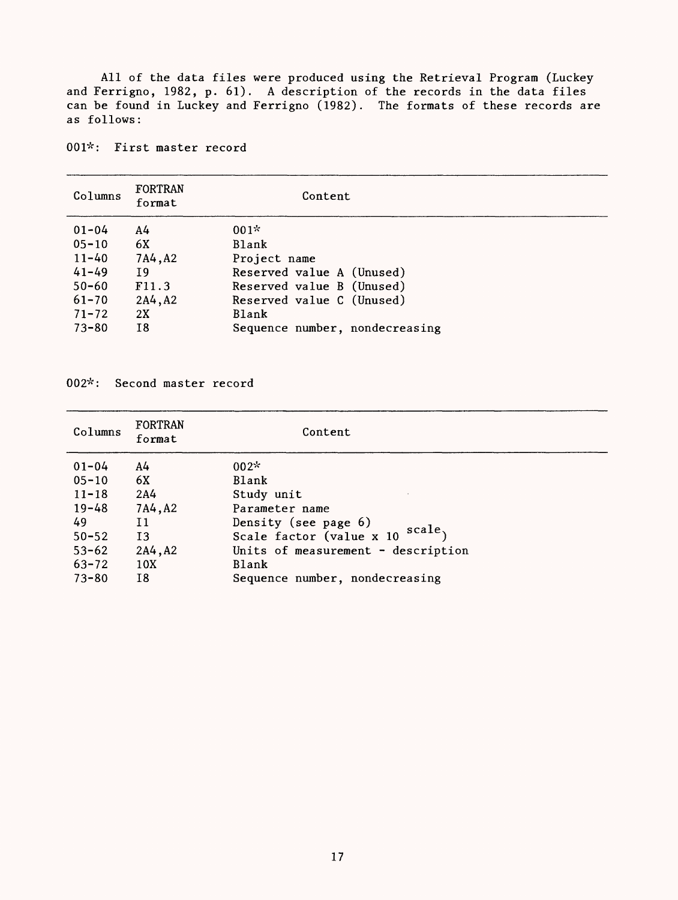All of the data files were produced using the Retrieval Program (Luckey and Ferrigno, 1982, p. 61). A description of the records in the data files can be found in Luckey and Ferrigno (1982). The formats of these records are as follows:

001\*: First master record

| Columns   | <b>FORTRAN</b><br>format | Content                        |
|-----------|--------------------------|--------------------------------|
| $01 - 04$ | A4                       | $001*$                         |
| $05 - 10$ | 6X                       | <b>Blank</b>                   |
| $11 - 40$ | 7A4, A2                  | Project name                   |
| $41 - 49$ | Ι9                       | Reserved value A (Unused)      |
| $50 - 60$ | F11.3                    | Reserved value B (Unused)      |
| $61 - 70$ | 2A4, A2                  | Reserved value C (Unused)      |
| $71 - 72$ | 2X                       | <b>Blank</b>                   |
| $73 - 80$ | I8                       | Sequence number, nondecreasing |

002\*: Second master record

| Columns   | <b>FORTRAN</b><br>format | Content                            |
|-----------|--------------------------|------------------------------------|
| $01 - 04$ | A4                       | $002*$                             |
| $05 - 10$ | 6X                       | Blank                              |
| $11 - 18$ | 2A <sub>4</sub>          | Study unit                         |
| $19 - 48$ | 7A4, A2                  | Parameter name                     |
| 49        | 11                       | Density (see page 6)               |
| $50 - 52$ | 13                       | scale,<br>Scale factor (value x 10 |
| $53 - 62$ | 2A4, A2                  | Units of measurement - description |
| $63 - 72$ | 10X                      | Blank                              |
| $73 - 80$ | Ι8                       | Sequence number, nondecreasing     |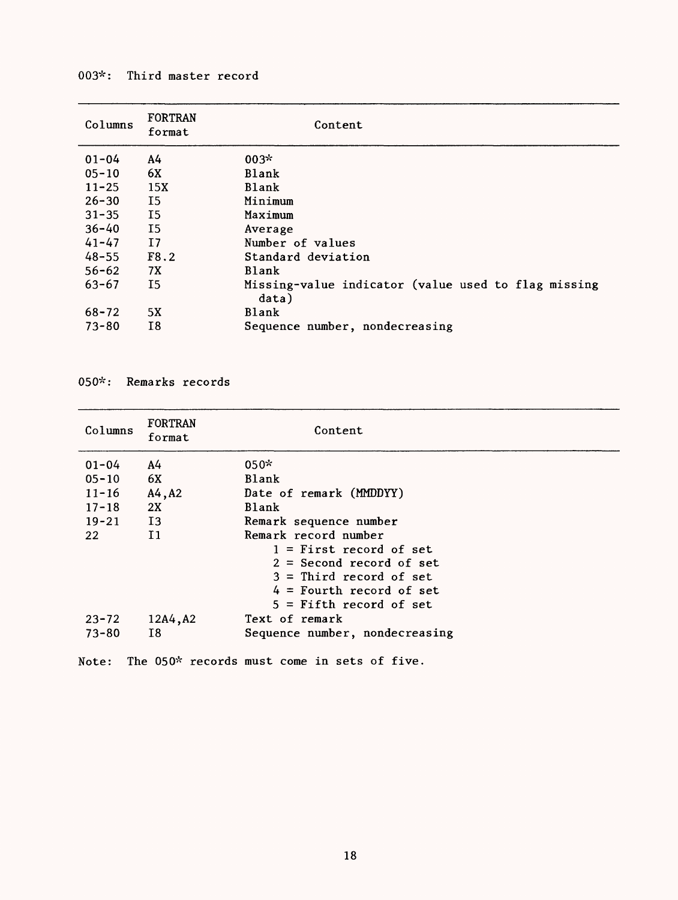# 003\*: Third master record

| Columns    | <b>FORTRAN</b><br>format | Content                                                      |
|------------|--------------------------|--------------------------------------------------------------|
| $01 - 04$  | A4                       | $003*$                                                       |
| $0.5 - 10$ | 6X                       | Blank                                                        |
| $11 - 25$  | 15X                      | <b>Blank</b>                                                 |
| $26 - 30$  | I5                       | Minimum                                                      |
| $31 - 35$  | $_{15}$                  | Maximum                                                      |
| $36 - 40$  | I5                       | Average                                                      |
| $41 - 47$  | I7                       | Number of values                                             |
| $48 - 55$  | F8.2                     | Standard deviation                                           |
| $56 - 62$  | 7X                       | Blank                                                        |
| $63 - 67$  | 15                       | Missing-value indicator (value used to flag missing<br>data) |
| $68 - 72$  | 5X                       | Blank                                                        |
| $73 - 80$  | Ι8                       | Sequence number, nondecreasing                               |

050\*: Remarks records

| Columns      | <b>FORTRAN</b><br>format | Content                                     |  |
|--------------|--------------------------|---------------------------------------------|--|
| $01 - 04$    | A4                       | $050*$                                      |  |
| $0.5 - 10$   | 6X                       | <b>Blank</b>                                |  |
| $11 - 16$    | A4, A2                   | Date of remark (MMDDYY)                     |  |
| $17 - 18$    | 2X                       | <b>Blank</b>                                |  |
| $19 - 21$    | I3                       | Remark sequence number                      |  |
| 22           | $\mathbf{I}$             | Remark record number                        |  |
|              |                          | $1 =$ First record of set                   |  |
|              |                          | $2 = Second record of set$                  |  |
|              |                          | $3 =$ Third record of set                   |  |
|              |                          | $4 =$ Fourth record of set                  |  |
|              |                          | $5 =$ Fifth record of set                   |  |
| $23 - 72$    | 12A4, A2                 | Text of remark                              |  |
| $73 - 80$    | Ι8                       | Sequence number, nondecreasing              |  |
| <b>Note:</b> |                          | The 050* records must come in sets of five. |  |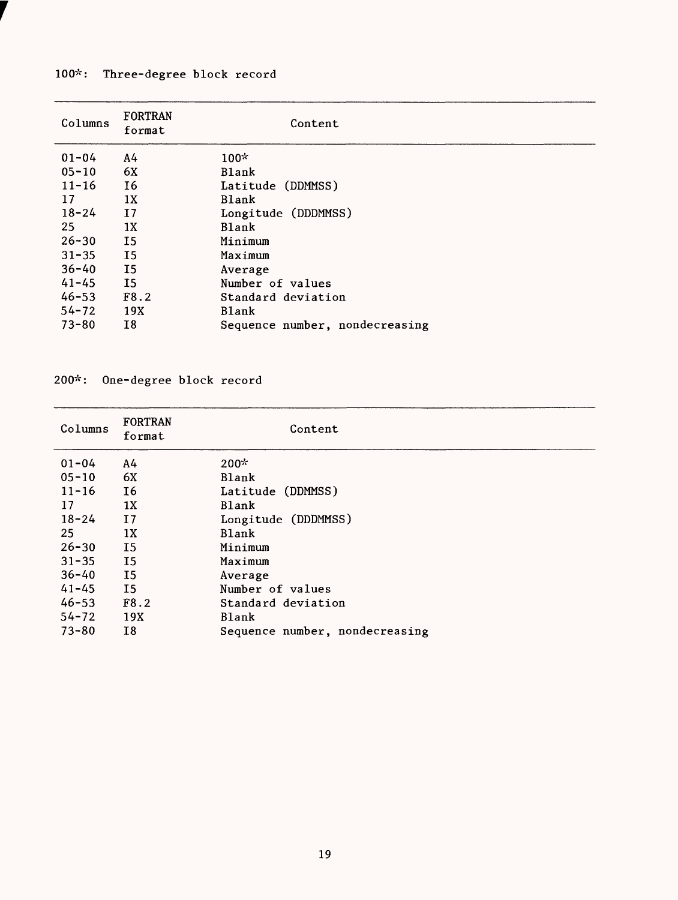# 100\*: Three-degree block record

| Columns   | <b>FORTRAN</b><br>format | Content                        |
|-----------|--------------------------|--------------------------------|
| $01 - 04$ | A4                       | $100*$                         |
| $05 - 10$ | 6X                       | <b>Blank</b>                   |
| $11 - 16$ | I6                       | Latitude (DDMMSS)              |
| 17        | 1X                       | <b>Blank</b>                   |
| $18 - 24$ | $\overline{17}$          | Longitude (DDDMMSS)            |
| 25        | 1X                       | <b>Blank</b>                   |
| $26 - 30$ | <b>I5</b>                | Minimum                        |
| $31 - 35$ | <b>I5</b>                | Maximum                        |
| $36 - 40$ | <b>I5</b>                | Average                        |
| $41 - 45$ | <b>I5</b>                | Number of values               |
| $46 - 53$ | F8.2                     | Standard deviation             |
| $54 - 72$ | 19X                      | Blank                          |
| $73 - 80$ | 18                       | Sequence number, nondecreasing |
|           |                          |                                |

#### 200\*: One-degree block record

| Columns   | <b>FORTRAN</b><br>format | Content                        |
|-----------|--------------------------|--------------------------------|
| $01 - 04$ | A4                       | $200*$                         |
| $05 - 10$ | 6X                       | <b>Blank</b>                   |
| $11 - 16$ | 16                       | Latitude (DDMMSS)              |
| 17        | 1X                       | <b>Blank</b>                   |
| $18 - 24$ | 17                       | Longitude (DDDMMSS)            |
| 25        | 1X                       | Blank                          |
| $26 - 30$ | I <sub>5</sub>           | Minimum                        |
| $31 - 35$ | <b>I5</b>                | Maximum                        |
| $36 - 40$ | 15                       | Average                        |
| $41 - 45$ | I <sub>5</sub>           | Number of values               |
| $46 - 53$ | F8.2                     | Standard deviation             |
| $54 - 72$ | 19X                      | Blank                          |
| $73 - 80$ | 18                       | Sequence number, nondecreasing |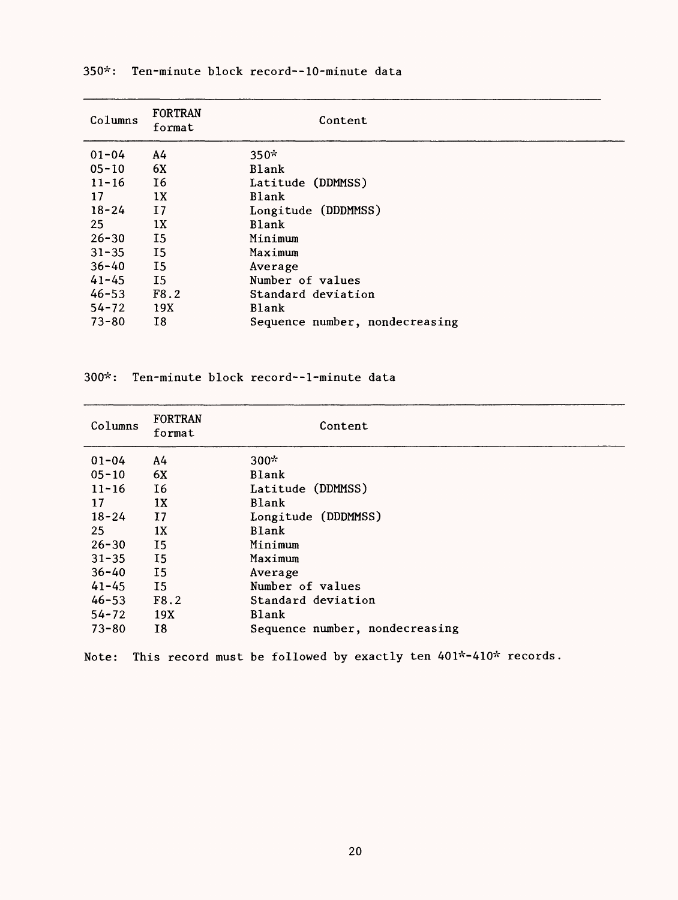| Columns   | <b>FORTRAN</b><br>format | Content                        |
|-----------|--------------------------|--------------------------------|
| $01 - 04$ | A4                       | $350*$                         |
| $05 - 10$ | 6X                       | Blank                          |
| $11 - 16$ | <b>I6</b>                | Latitude (DDMMSS)              |
| 17        | 1X                       | <b>Blank</b>                   |
| $18 - 24$ | 17                       | Longitude (DDDMMSS)            |
| 25        | 1X                       | <b>Blank</b>                   |
| $26 - 30$ | I5                       | Minimum                        |
| $31 - 35$ | $_{15}$                  | Maximum                        |
| $36 - 40$ | $_{15}$                  | Average                        |
| $41 - 45$ | I <sub>5</sub>           | Number of values               |
| $46 - 53$ | F8.2                     | Standard deviation             |
| $54 - 72$ | 19X                      | Blank                          |
| $73 - 80$ | 18                       | Sequence number, nondecreasing |

300\*: Ten-minute block record--1-minute data

| Columns   | <b>FORTRAN</b><br>format | Content                        |
|-----------|--------------------------|--------------------------------|
| $01 - 04$ | A4                       | $300*$                         |
| $05 - 10$ | 6X                       | <b>Blank</b>                   |
| $11 - 16$ | 16                       | Latitude (DDMMSS)              |
| 17        | 1X                       | <b>Blank</b>                   |
| $18 - 24$ | 17                       | Longitude (DDDMMSS)            |
| 25        | 1X                       | <b>Blank</b>                   |
| $26 - 30$ | $_{15}$                  | Minimum                        |
| $31 - 35$ | <b>I5</b>                | Maximum                        |
| $36 - 40$ | I <sub>5</sub>           | Average                        |
| $41 - 45$ | I5                       | Number of values               |
| $46 - 53$ | F8.2                     | Standard deviation             |
| $54 - 72$ | 19X                      | <b>Blank</b>                   |
| $73 - 80$ | I8                       | Sequence number, nondecreasing |

|  |  |  |  | Note: This record must be followed by exactly ten 401*-410* records. |  |
|--|--|--|--|----------------------------------------------------------------------|--|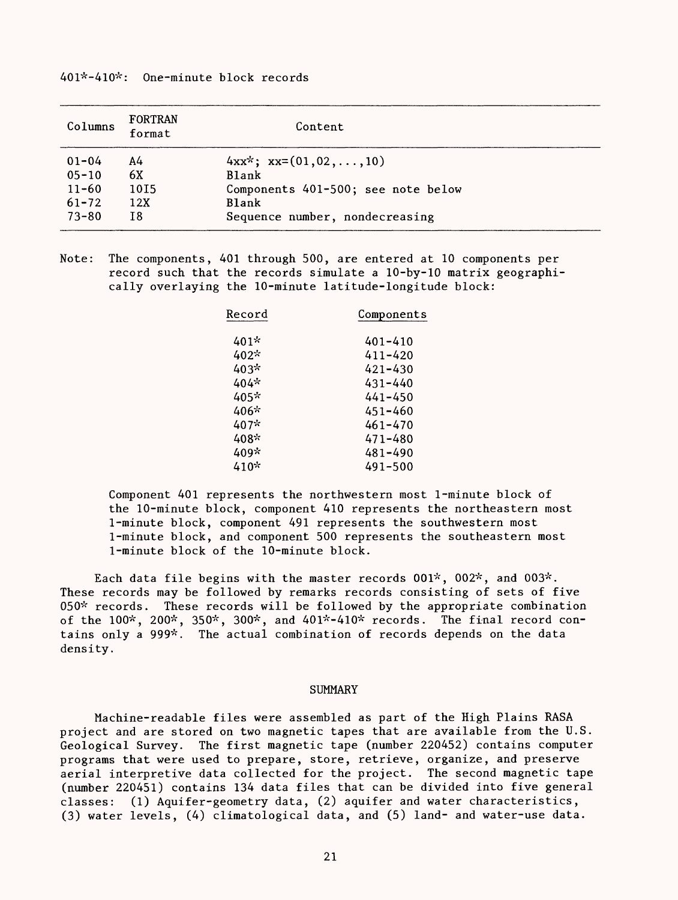## 401\*-410\*: One-minute block records

| Columns   | <b>FORTRAN</b><br>format | Content                            |
|-----------|--------------------------|------------------------------------|
| $01 - 04$ | А4                       | $4xx^*$ ; $xx=(01,02,\ldots,10)$   |
| $05 - 10$ | 6X                       | <b>Blank</b>                       |
| $11 - 60$ | 1015                     | Components 401-500; see note below |
| $61 - 72$ | 12X                      | <b>Blank</b>                       |
| $73 - 80$ | Ι8                       | Sequence number, nondecreasing     |

Note: The components, 401 through 500, are entered at 10 components per record such that the records simulate a 10-by-10 matrix geographically overlaying the 10-minute latitude-longitude block:

| Record | Components  |
|--------|-------------|
| 401*   | 401-410     |
| 402*   | $411 - 420$ |
| 403*   | 421-430     |
| 404*   | $431 - 440$ |
| 405*   | 441-450     |
| 406*   | 451-460     |
| 407*   | 461-470     |
| 408*   | 471-480     |
| 409*   | 481-490     |
| 410*   | 491-500     |

Component 401 represents the northwestern most 1-minute block of the 10-minute block, component 410 represents the northeastern most 1-minute block, component 491 represents the southwestern most 1-minute block, and component 500 represents the southeastern most 1-minute block of the 10-minute block.

Each data file begins with the master records  $001^*$ ,  $002^*$ , and  $003^*$ . These records may be followed by remarks records consisting of sets of five 050\* records. These records will be followed by the appropriate combination of the 100\*, 200\*, 350\*, 300\*, and 401\*-410\* records. The final record contains only a 999\*. The actual combination of records depends on the data density.

## SUMMARY

Machine-readable files were assembled as part of the High Plains RASA project and are stored on two magnetic tapes that are available from the U.S. Geological Survey. The first magnetic tape (number 220452) contains computer programs that were used to prepare, store, retrieve, organize, and preserve aerial interpretive data collected for the project. The second magnetic tape (number 220451) contains 134 data files that can be divided into five general classes: (1) Aquifer-geometry data, (2) aquifer and water characteristics, (3) water levels, (4) climatological data, and (5) land- and water-use data.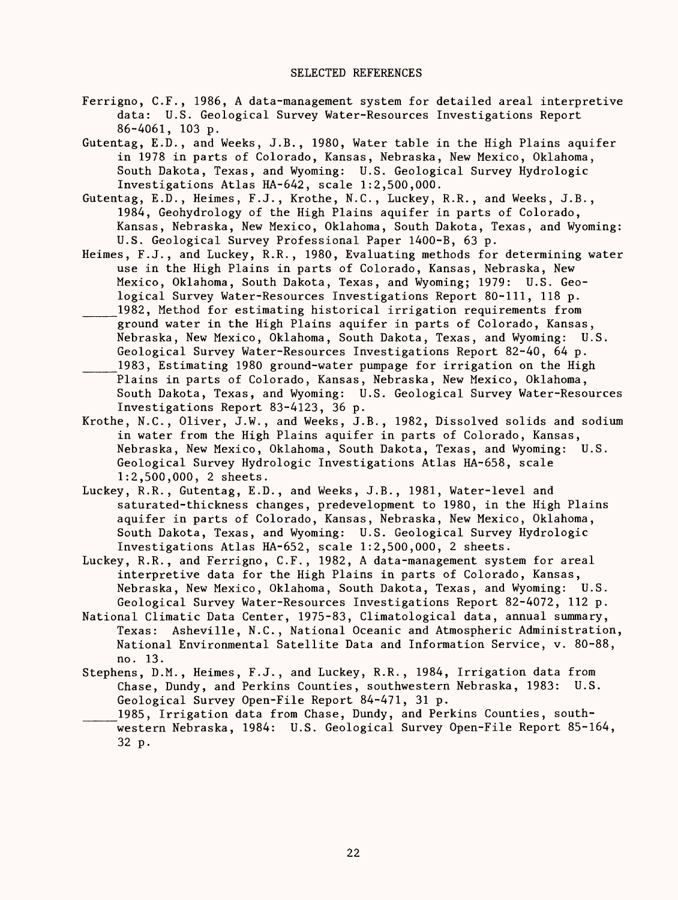- Ferrigno, C.F., 1986, A data-management system for detailed areal interpretive data: U.S. Geological Survey Water-Resources Investigations Report 86-4061, 103 p.
- Gutentag, E.D., and Weeks, J.B., 1980, Water table in the High Plains aquifer in 1978 in parts of Colorado, Kansas, Nebraska, New Mexico, Oklahoma, South Dakota, Texas, and Wyoming: U.S. Geological Survey Hydrologic Investigations Atlas HA-642, scale 1:2,500,000.
- Gutentag, E.D., Heimes, F.J., Krothe, N.C., Luckey, R.R., and Weeks, J.B., 1984, Geohydrology of the High Plains aquifer in parts of Colorado, Kansas, Nebraska, New Mexico, Oklahoma, South Dakota, Texas, and Wyoming: U.S. Geological Survey Professional Paper 1400-B, 63 p.
- Heimes, F.J., and Luckey, R.R., 1980, Evaluating methods for determining water use in the High Plains in parts of Colorado, Kansas, Nebraska, New Mexico, Oklahoma, South Dakota, Texas, and Wyoming; 1979: U.S. Geological Survey Water-Resources Investigations Report 80-111, 118 p. 1982, Method for estimating historical irrigation requirements from ground water in the High Plains aquifer in parts of Colorado, Kansas, Nebraska, New Mexico, Oklahoma, South Dakota, Texas, and Wyoming: U.S. Geological Survey Water-Resources Investigations Report 82-40, 64 p.
- 1983, Estimating 1980 ground-water pumpage for irrigation on the High Plains in parts of Colorado, Kansas, Nebraska, New Mexico, Oklahoma, South Dakota, Texas, and Wyoming: U.S. Geological Survey Water-Resources Investigations Report 83-4123, 36 p.
- Krothe, N.C., Oliver, J.W., and Weeks, J.B., 1982, Dissolved solids and sodium in water from the High Plains aquifer in parts of Colorado, Kansas, Nebraska, New Mexico, Oklahoma, South Dakota, Texas, and Wyoming: U.S. Geological Survey Hydrologic Investigations Atlas HA-658, scale 1:2,500,000, 2 sheets.
- Luckey, R.R., Gutentag, E.D., and Weeks, J.B., 1981, Water-level and saturated-thickness changes, predevelopment to 1980, in the High Plains aquifer in parts of Colorado, Kansas, Nebraska, New Mexico, Oklahoma, South Dakota, Texas, and Wyoming: U.S. Geological Survey Hydrologic Investigations Atlas HA-652, scale 1:2,500,000, 2 sheets.
- Luckey, R.R., and Ferrigno, C.F., 1982, A data-management system for areal interpretive data for the High Plains in parts of Colorado, Kansas, Nebraska, New Mexico, Oklahoma, South Dakota, Texas, and Wyoming: U.S. Geological Survey Water-Resources Investigations Report 82-4072, 112 p.
- National Climatic Data Center, 1975-83, Climatological data, annual summary, Texas: Asheville, N.C., National Oceanic and Atmospheric Administration, National Environmental Satellite Data and Information Service, v. 80-88, no. 13.
- Stephens, D.M., Heimes, F.J., and Luckey, R.R., 1984, Irrigation data from Chase, Dundy, and Perkins Counties, southwestern Nebraska, 1983: U.S. Geological Survey Open-File Report 84-471, 31 p.
- 1985, Irrigation data from Chase, Dundy, and Perkins Counties, southwestern Nebraska, 1984: U.S. Geological Survey Open-File Report 85-164, 32 p.